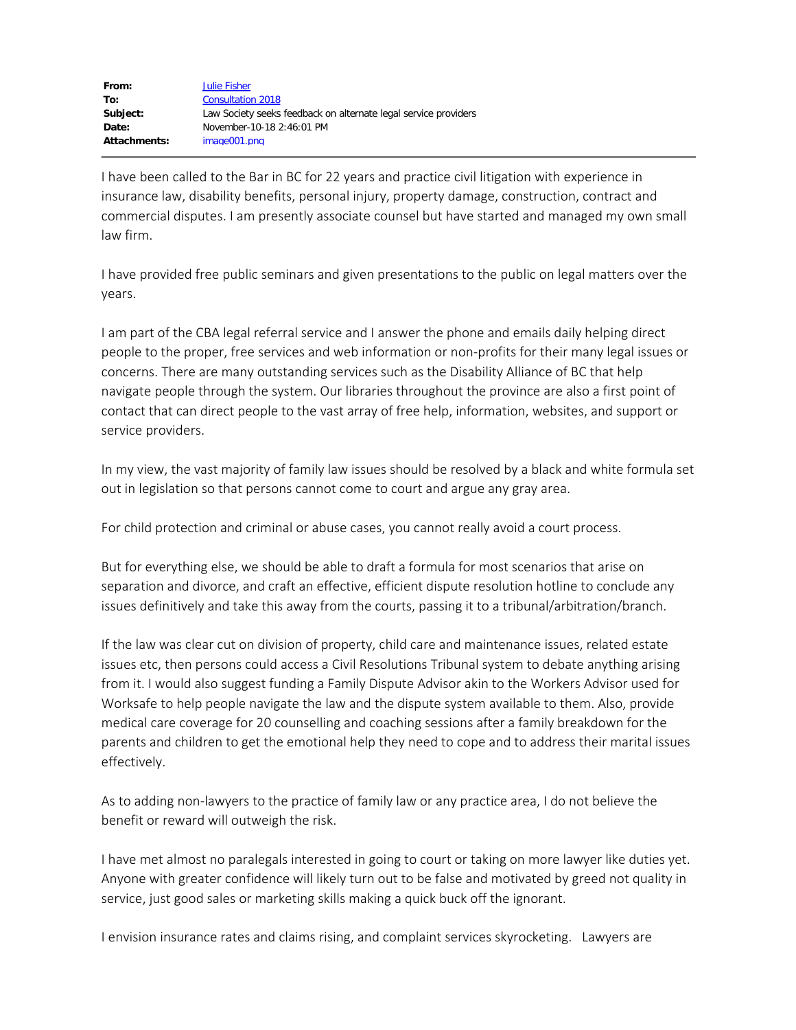I have been called to the Bar in BC for 22 years and practice civil litigation with experience in insurance law, disability benefits, personal injury, property damage, construction, contract and commercial disputes. I am presently associate counsel but have started and managed my own small law firm.

I have provided free public seminars and given presentations to the public on legal matters over the years.

I am part of the CBA legal referral service and I answer the phone and emails daily helping direct people to the proper, free services and web information or non-profits for their many legal issues or concerns. There are many outstanding services such as the Disability Alliance of BC that help navigate people through the system. Our libraries throughout the province are also a first point of contact that can direct people to the vast array of free help, information, websites, and support or service providers.

In my view, the vast majority of family law issues should be resolved by a black and white formula set out in legislation so that persons cannot come to court and argue any gray area.

For child protection and criminal or abuse cases, you cannot really avoid a court process.

But for everything else, we should be able to draft a formula for most scenarios that arise on separation and divorce, and craft an effective, efficient dispute resolution hotline to conclude any issues definitively and take this away from the courts, passing it to a tribunal/arbitration/branch.

If the law was clear cut on division of property, child care and maintenance issues, related estate issues etc, then persons could access a Civil Resolutions Tribunal system to debate anything arising from it. I would also suggest funding a Family Dispute Advisor akin to the Workers Advisor used for Worksafe to help people navigate the law and the dispute system available to them. Also, provide medical care coverage for 20 counselling and coaching sessions after a family breakdown for the parents and children to get the emotional help they need to cope and to address their marital issues effectively.

As to adding non-lawyers to the practice of family law or any practice area, I do not believe the benefit or reward will outweigh the risk.

I have met almost no paralegals interested in going to court or taking on more lawyer like duties yet. Anyone with greater confidence will likely turn out to be false and motivated by greed not quality in service, just good sales or marketing skills making a quick buck off the ignorant.

I envision insurance rates and claims rising, and complaint services skyrocketing. Lawyers are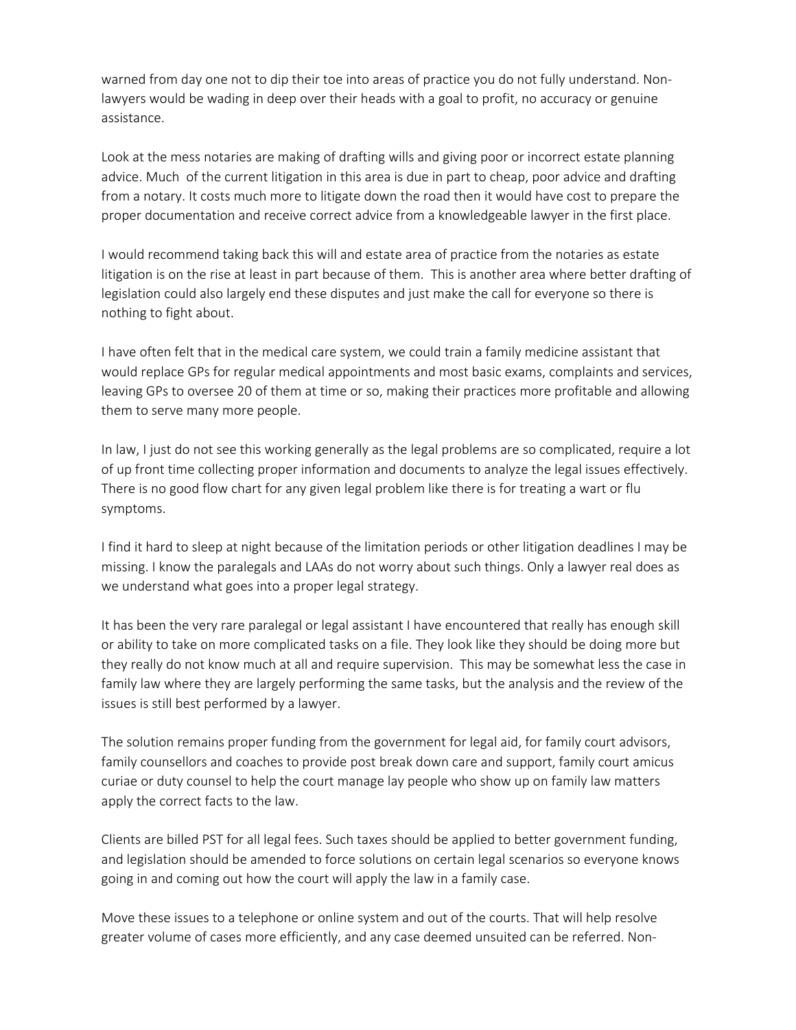warned from day one not to dip their toe into areas of practice you do not fully understand. Nonlawyers would be wading in deep over their heads with a goal to profit, no accuracy or genuine assistance.

Look at the mess notaries are making of drafting wills and giving poor or incorrect estate planning advice. Much of the current litigation in this area is due in part to cheap, poor advice and drafting from a notary. It costs much more to litigate down the road then it would have cost to prepare the proper documentation and receive correct advice from a knowledgeable lawyer in the first place.

I would recommend taking back this will and estate area of practice from the notaries as estate litigation is on the rise at least in part because of them. This is another area where better drafting of legislation could also largely end these disputes and just make the call for everyone so there is nothing to fight about.

I have often felt that in the medical care system, we could train a family medicine assistant that would replace GPs for regular medical appointments and most basic exams, complaints and services, leaving GPs to oversee 20 of them at time or so, making their practices more profitable and allowing them to serve many more people.

In law, I just do not see this working generally as the legal problems are so complicated, require a lot of up front time collecting proper information and documents to analyze the legal issues effectively. There is no good flow chart for any given legal problem like there is for treating a wart or flu symptoms.

I find it hard to sleep at night because of the limitation periods or other litigation deadlines I may be missing. I know the paralegals and LAAs do not worry about such things. Only a lawyer real does as we understand what goes into a proper legal strategy.

It has been the very rare paralegal or legal assistant I have encountered that really has enough skill or ability to take on more complicated tasks on a file. They look like they should be doing more but they really do not know much at all and require supervision. This may be somewhat less the case in family law where they are largely performing the same tasks, but the analysis and the review of the issues is still best performed by a lawyer.

The solution remains proper funding from the government for legal aid, for family court advisors, family counsellors and coaches to provide post break down care and support, family court amicus curiae or duty counsel to help the court manage lay people who show up on family law matters apply the correct facts to the law.

Clients are billed PST for all legal fees. Such taxes should be applied to better government funding, and legislation should be amended to force solutions on certain legal scenarios so everyone knows going in and coming out how the court will apply the law in a family case.

Move these issues to a telephone or online system and out of the courts. That will help resolve greater volume of cases more efficiently, and any case deemed unsuited can be referred. Non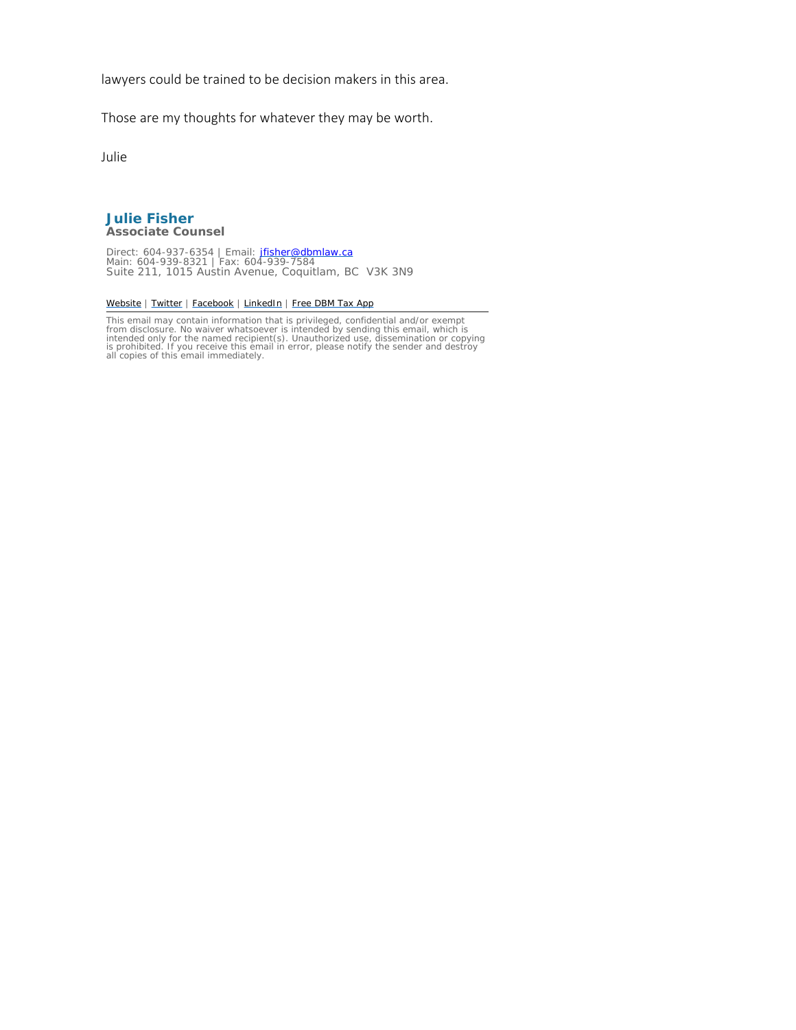lawyers could be trained to be decision makers in this area.

Those are my thoughts for whatever they may be worth.

Julie

#### **Julie Fisher**  *Associate Counsel*

Direct: 604-937-6354 | Email: <u>jfisher@dbmlaw.ca</u><br>Main: 604-939-8321 | Fax: 604-939-7584<br>Suite 211, 1015 Austin Avenue, Coquitlam, BC V3K 3N9

#### [Website](http://dbmlaw.ca/) | [Twitter](https://twitter.com/DBM_Law) | [Facebook](https://www.facebook.com/DrysdaleBaconMcStravick) | [LinkedIn](http://www.linkedin.com/company/drysdale-bacon-mcstravick-llp) | [Free DBM Tax App](http://dbmlaw.ca/free-dbm-taxapp/)

This email may contain information that is privileged, confidential and/or exempt<br>from disclosure. No waiver whatsoever is intended by sending this email, which is<br>intended only for the named recipient(s). Unauthorized use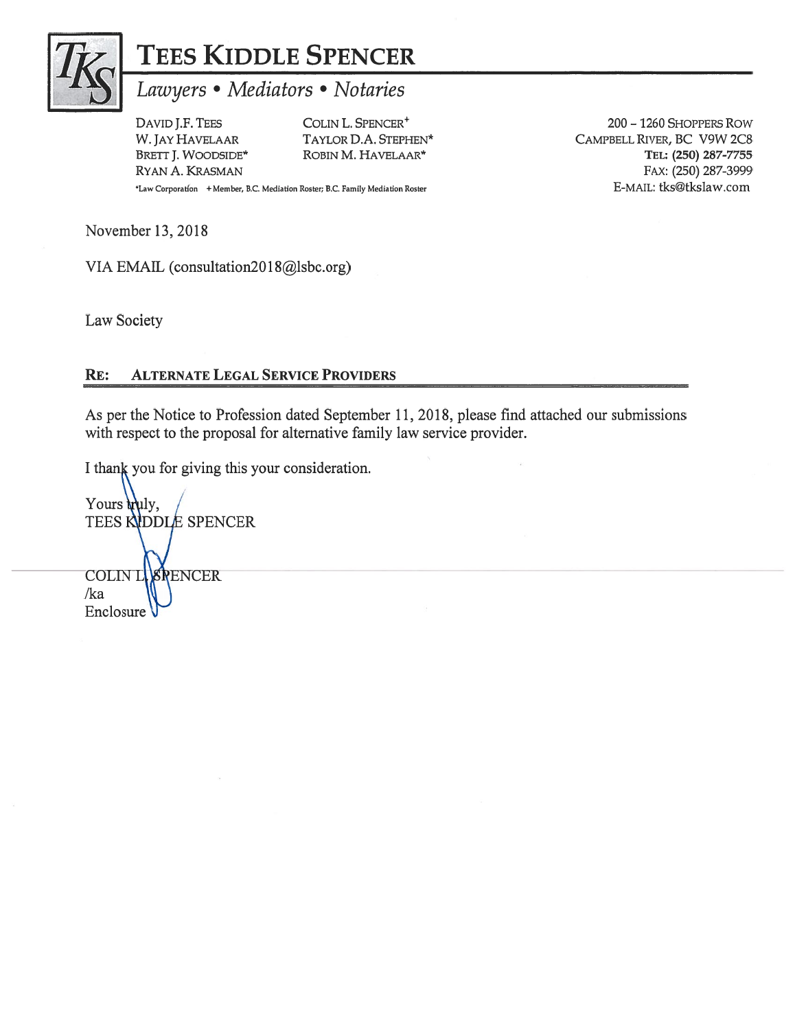

# TEES KIDDLE SPENCER

## Lawyers • Mediators • Notaries

DAVID J.F. TEES W. JAY HAVELAAR BRETT J. WOODSIDE\* RYAN A. KRASMAN \*Law Corporation + Member, B.C. Mediation Roster; B.C. Family Mediation Roster

COLIN L. SPENCER<sup>+</sup> TAYLOR D.A. STEPHEN\* ROBIN M. HAVELAAR\*

200 - 1260 SHOPPERS ROW CAMPBELL RIVER, BC V9W 2C8 TEL: (250) 287-7755 FAX: (250) 287-3999 E-MAIL: tks@tkslaw.com

November 13, 2018

VIA EMAIL (consultation2018@lsbc.org)

Law Society

#### **ALTERNATE LEGAL SERVICE PROVIDERS** RE:

As per the Notice to Profession dated September 11, 2018, please find attached our submissions with respect to the proposal for alternative family law service provider.

I thank you for giving this your consideration.

Yours wuly, **TEES KIDDLE SPENCER** COLIN LASPENCER  $/ka$ Enclosure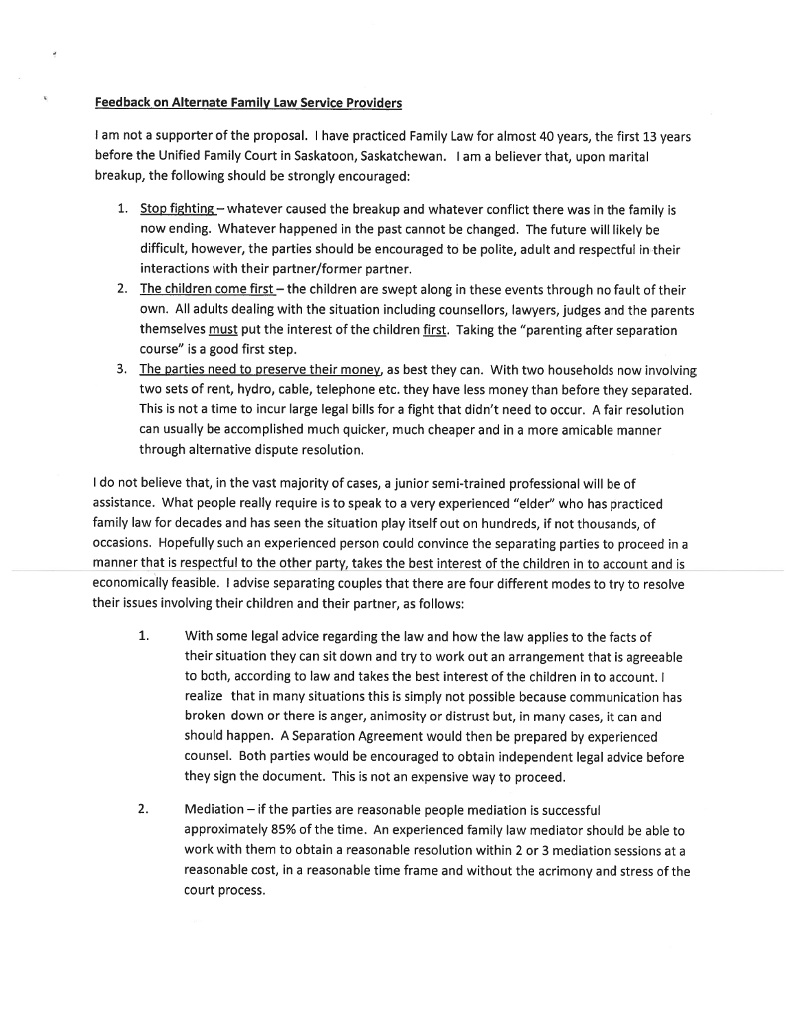#### **Feedback on Alternate Family Law Service Providers**

 $\mathbf{g}$ 

I am not a supporter of the proposal. I have practiced Family Law for almost 40 years, the first 13 years before the Unified Family Court in Saskatoon, Saskatchewan. I am a believer that, upon marital breakup, the following should be strongly encouraged:

- 1. Stop fighting whatever caused the breakup and whatever conflict there was in the family is now ending. Whatever happened in the past cannot be changed. The future will likely be difficult, however, the parties should be encouraged to be polite, adult and respectful in their interactions with their partner/former partner.
- 2. The children come first the children are swept along in these events through no fault of their own. All adults dealing with the situation including counsellors, lawyers, judges and the parents themselves must put the interest of the children first. Taking the "parenting after separation course" is a good first step.
- 3. The parties need to preserve their money, as best they can. With two households now involving two sets of rent, hydro, cable, telephone etc. they have less money than before they separated. This is not a time to incur large legal bills for a fight that didn't need to occur. A fair resolution can usually be accomplished much quicker, much cheaper and in a more amicable manner through alternative dispute resolution.

I do not believe that, in the vast majority of cases, a junior semi-trained professional will be of assistance. What people really require is to speak to a very experienced "elder" who has practiced family law for decades and has seen the situation play itself out on hundreds, if not thousands, of occasions. Hopefully such an experienced person could convince the separating parties to proceed in a manner that is respectful to the other party, takes the best interest of the children in to account and is economically feasible. I advise separating couples that there are four different modes to try to resolve their issues involving their children and their partner, as follows:

- $1.$ With some legal advice regarding the law and how the law applies to the facts of their situation they can sit down and try to work out an arrangement that is agreeable to both, according to law and takes the best interest of the children in to account. I realize that in many situations this is simply not possible because communication has broken down or there is anger, animosity or distrust but, in many cases, it can and should happen. A Separation Agreement would then be prepared by experienced counsel. Both parties would be encouraged to obtain independent legal advice before they sign the document. This is not an expensive way to proceed.
- $2.$ Mediation  $-$  if the parties are reasonable people mediation is successful approximately 85% of the time. An experienced family law mediator should be able to work with them to obtain a reasonable resolution within 2 or 3 mediation sessions at a reasonable cost, in a reasonable time frame and without the acrimony and stress of the court process.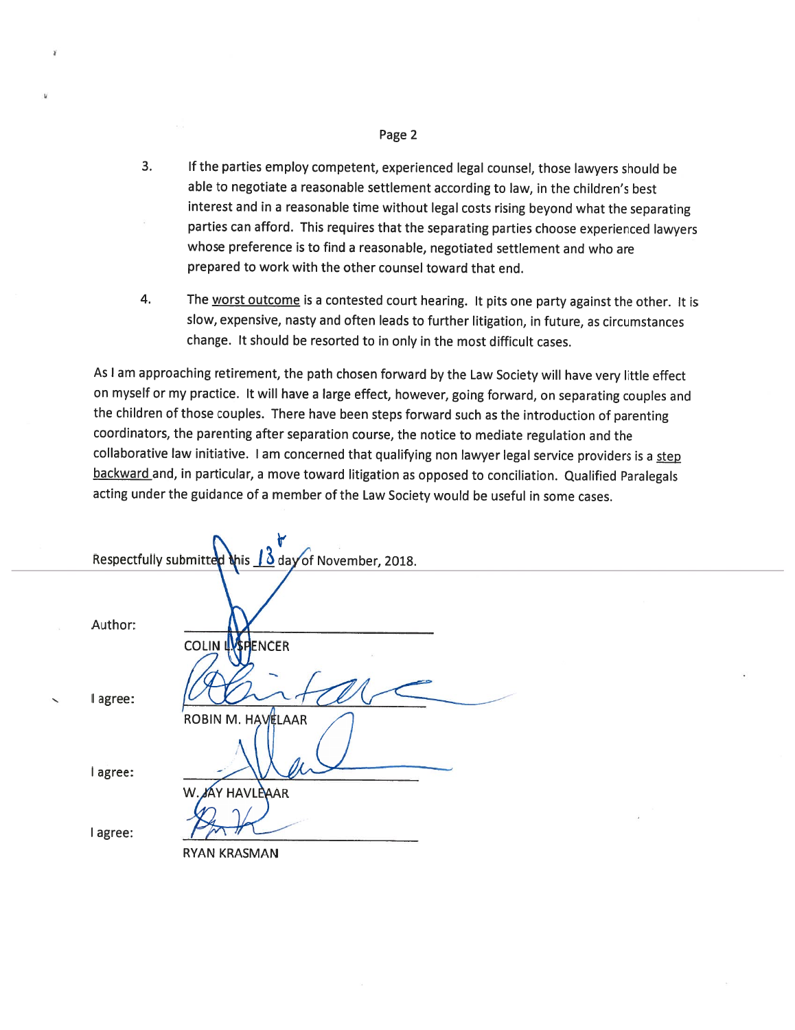#### Page 2

¥

- $3<sub>1</sub>$ If the parties employ competent, experienced legal counsel, those lawyers should be able to negotiate a reasonable settlement according to law, in the children's best interest and in a reasonable time without legal costs rising beyond what the separating parties can afford. This requires that the separating parties choose experienced lawyers whose preference is to find a reasonable, negotiated settlement and who are prepared to work with the other counsel toward that end.
- 4. The worst outcome is a contested court hearing. It pits one party against the other. It is slow, expensive, nasty and often leads to further litigation, in future, as circumstances change. It should be resorted to in only in the most difficult cases.

As I am approaching retirement, the path chosen forward by the Law Society will have very little effect on myself or my practice. It will have a large effect, however, going forward, on separating couples and the children of those couples. There have been steps forward such as the introduction of parenting coordinators, the parenting after separation course, the notice to mediate regulation and the collaborative law initiative. I am concerned that qualifying non lawyer legal service providers is a step backward and, in particular, a move toward litigation as opposed to conciliation. Qualified Paralegals acting under the guidance of a member of the Law Society would be useful in some cases.

|          | Respectfully submitted this 13 day of November, 2018. |
|----------|-------------------------------------------------------|
| Author:  | <b>COLIN LASPENCER</b>                                |
| I agree: | ROBIN M. HAVELAAR                                     |
| I agree: | W. XAY HAVLEAAR                                       |
| I agree: | <b>RYAN KRASMAN</b>                                   |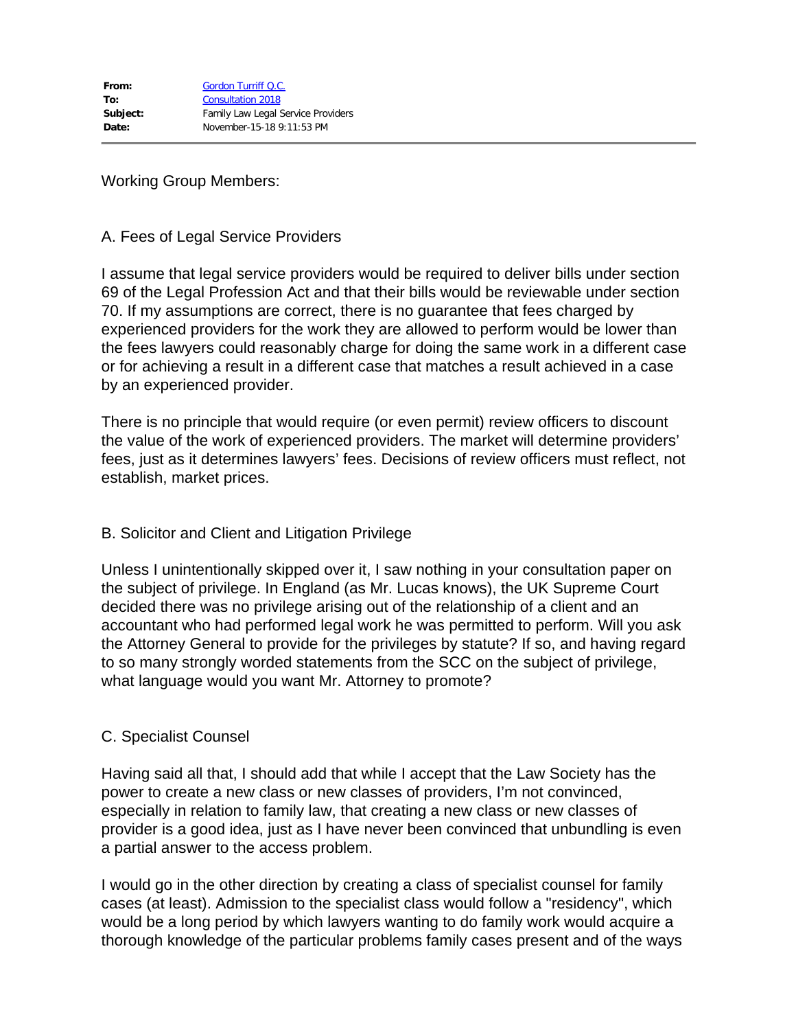Working Group Members:

#### A. Fees of Legal Service Providers

I assume that legal service providers would be required to deliver bills under section 69 of the Legal Profession Act and that their bills would be reviewable under section 70. If my assumptions are correct, there is no guarantee that fees charged by experienced providers for the work they are allowed to perform would be lower than the fees lawyers could reasonably charge for doing the same work in a different case or for achieving a result in a different case that matches a result achieved in a case by an experienced provider.

There is no principle that would require (or even permit) review officers to discount the value of the work of experienced providers. The market will determine providers' fees, just as it determines lawyers' fees. Decisions of review officers must reflect, not establish, market prices.

### B. Solicitor and Client and Litigation Privilege

Unless I unintentionally skipped over it, I saw nothing in your consultation paper on the subject of privilege. In England (as Mr. Lucas knows), the UK Supreme Court decided there was no privilege arising out of the relationship of a client and an accountant who had performed legal work he was permitted to perform. Will you ask the Attorney General to provide for the privileges by statute? If so, and having regard to so many strongly worded statements from the SCC on the subject of privilege, what language would you want Mr. Attorney to promote?

### C. Specialist Counsel

Having said all that, I should add that while I accept that the Law Society has the power to create a new class or new classes of providers, I'm not convinced, especially in relation to family law, that creating a new class or new classes of provider is a good idea, just as I have never been convinced that unbundling is even a partial answer to the access problem.

I would go in the other direction by creating a class of specialist counsel for family cases (at least). Admission to the specialist class would follow a "residency", which would be a long period by which lawyers wanting to do family work would acquire a thorough knowledge of the particular problems family cases present and of the ways